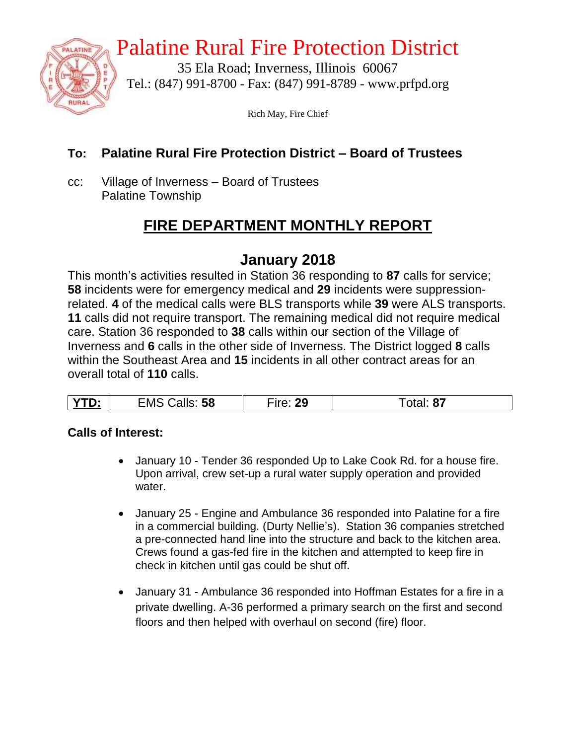

## Palatine Rural Fire Protection District

35 Ela Road; Inverness, Illinois 60067 Tel.: (847) 991-8700 - Fax: (847) 991-8789 - www.prfpd.org

Rich May, Fire Chief

#### **To: Palatine Rural Fire Protection District – Board of Trustees**

cc: Village of Inverness – Board of Trustees Palatine Township

## **FIRE DEPARTMENT MONTHLY REPORT**

## **January 2018**

This month's activities resulted in Station 36 responding to **87** calls for service; **58** incidents were for emergency medical and **29** incidents were suppressionrelated. **4** of the medical calls were BLS transports while **39** were ALS transports. **11** calls did not require transport. The remaining medical did not require medical care. Station 36 responded to **38** calls within our section of the Village of Inverness and **6** calls in the other side of Inverness. The District logged **8** calls within the Southeast Area and **15** incidents in all other contract areas for an overall total of **110** calls.

| $\sim$<br>Calls: 58<br>מכ<br><b>EMS</b><br>D:<br>$-10o$<br>ZJ. | 81 |
|----------------------------------------------------------------|----|

#### **Calls of Interest:**

- January 10 Tender 36 responded Up to Lake Cook Rd. for a house fire. Upon arrival, crew set-up a rural water supply operation and provided water.
- January 25 Engine and Ambulance 36 responded into Palatine for a fire in a commercial building. (Durty Nellie's). Station 36 companies stretched a pre-connected hand line into the structure and back to the kitchen area. Crews found a gas-fed fire in the kitchen and attempted to keep fire in check in kitchen until gas could be shut off.
- January 31 Ambulance 36 responded into Hoffman Estates for a fire in a private dwelling. A-36 performed a primary search on the first and second floors and then helped with overhaul on second (fire) floor.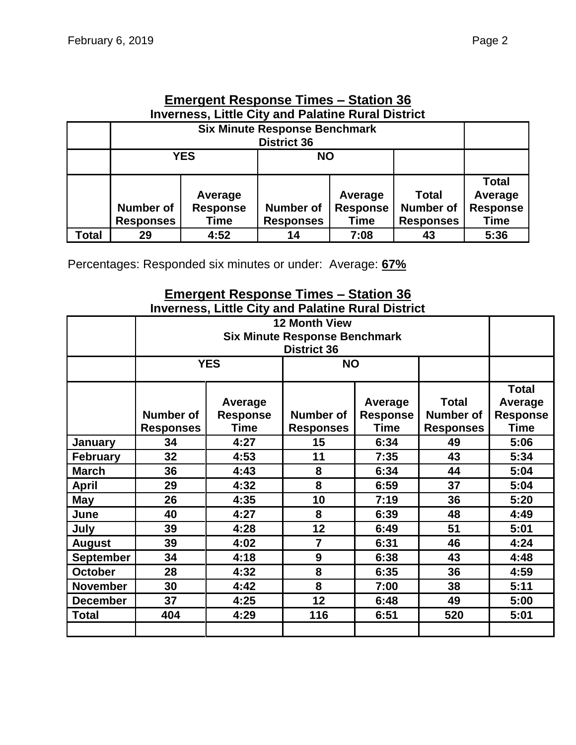|                                                           | Emergent Response Times – Station 36 |                 |                    |                          |                 |              |  |  |  |
|-----------------------------------------------------------|--------------------------------------|-----------------|--------------------|--------------------------|-----------------|--------------|--|--|--|
| <b>Inverness, Little City and Palatine Rural District</b> |                                      |                 |                    |                          |                 |              |  |  |  |
|                                                           | <b>Six Minute Response Benchmark</b> |                 |                    |                          |                 |              |  |  |  |
|                                                           |                                      |                 | <b>District 36</b> |                          |                 |              |  |  |  |
|                                                           |                                      | <b>YES</b>      | <b>NO</b>          |                          |                 |              |  |  |  |
|                                                           |                                      |                 |                    |                          |                 |              |  |  |  |
|                                                           |                                      |                 |                    |                          |                 | <b>Total</b> |  |  |  |
|                                                           | Average<br>Average                   |                 |                    |                          | Total           | Average      |  |  |  |
|                                                           | <b>Number of</b>                     | <b>Response</b> | <b>Response</b>    | <b>Number of</b>         | <b>Response</b> |              |  |  |  |
|                                                           | <b>Responses</b>                     | Time            | <b>Responses</b>   | <b>Responses</b><br>Time |                 |              |  |  |  |
| Total                                                     | 29                                   | 4:52            | 14                 | 7:08                     | 43              | 5:36         |  |  |  |

# **Emergent Response Times – Station 36**

Percentages: Responded six minutes or under: Average: **67%**

#### **Emergent Response Times – Station 36 Inverness, Little City and Palatine Rural District**

|                  | <b>12 Month View</b><br><b>Six Minute Response Benchmark</b><br><b>District 36</b> |                                           |                                                                                                                                    |      |      |      |
|------------------|------------------------------------------------------------------------------------|-------------------------------------------|------------------------------------------------------------------------------------------------------------------------------------|------|------|------|
|                  |                                                                                    | <b>YES</b><br><b>NO</b>                   |                                                                                                                                    |      |      |      |
|                  | Number of<br><b>Responses</b>                                                      | Average<br><b>Response</b><br><b>Time</b> | <b>Total</b><br>Average<br><b>Number of</b><br><b>Number of</b><br><b>Response</b><br>Time<br><b>Responses</b><br><b>Responses</b> |      |      |      |
| January          | 34                                                                                 | 4:27                                      | 15                                                                                                                                 | 6:34 | 49   | 5:06 |
| <b>February</b>  | 32                                                                                 | 4:53                                      | 11                                                                                                                                 | 7:35 | 43   | 5:34 |
| <b>March</b>     | 36                                                                                 | 4:43                                      | 8<br>6:34                                                                                                                          |      | 44   | 5:04 |
| <b>April</b>     | 29                                                                                 | 4:32                                      |                                                                                                                                    | 6:59 | 37   | 5:04 |
| <b>May</b>       | 26<br>4:35                                                                         |                                           | 10                                                                                                                                 | 7:19 | 36   | 5:20 |
| June             | 40                                                                                 | 4:27                                      | 8                                                                                                                                  | 6:39 | 48   | 4:49 |
| July             | 39                                                                                 | 4:28                                      | 12<br>6:49                                                                                                                         |      | 51   | 5:01 |
| <b>August</b>    | 39                                                                                 | 4:02                                      | $\overline{7}$<br>6:31                                                                                                             |      | 46   | 4:24 |
| <b>September</b> | 9<br>34<br>4:18<br>6:38                                                            |                                           | 43                                                                                                                                 | 4:48 |      |      |
| <b>October</b>   | 28                                                                                 | 8<br>4:32<br>6:35                         |                                                                                                                                    | 36   | 4:59 |      |
| <b>November</b>  | 30                                                                                 | 4:42                                      | 8<br>7:00                                                                                                                          |      | 38   | 5:11 |
| <b>December</b>  | 37                                                                                 | 4:25                                      | 12                                                                                                                                 | 6:48 | 49   | 5:00 |
| <b>Total</b>     | 404                                                                                | 4:29                                      | 116                                                                                                                                | 6:51 | 520  | 5:01 |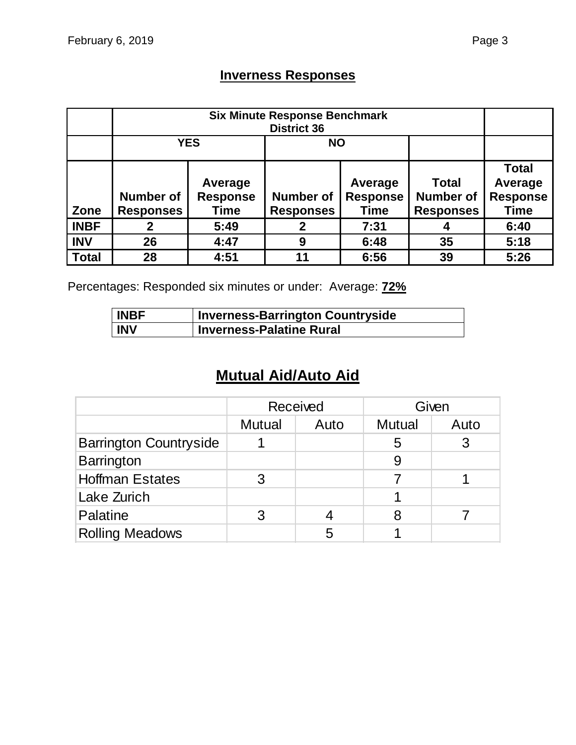## **Inverness Responses**

|              |                  | <b>YES</b><br><b>NO</b> |                                     |             |                  |                 |  |
|--------------|------------------|-------------------------|-------------------------------------|-------------|------------------|-----------------|--|
|              |                  |                         |                                     |             |                  | <b>Total</b>    |  |
|              |                  | Average                 |                                     | Average     | <b>Total</b>     | Average         |  |
|              | <b>Number of</b> | <b>Response</b>         | <b>Response</b><br><b>Number of</b> |             | <b>Number of</b> | <b>Response</b> |  |
| Zone         | <b>Responses</b> | Time                    | <b>Responses</b>                    | <b>Time</b> | <b>Responses</b> | <b>Time</b>     |  |
| <b>INBF</b>  |                  | 5:49                    | 2                                   | 7:31        |                  | 6:40            |  |
| <b>INV</b>   | 26               | 4:47                    | 9                                   | 6:48        | 35               | 5:18            |  |
| <b>Total</b> | 28               | 4:51                    | 11                                  | 6:56        | 39               | 5:26            |  |

Percentages: Responded six minutes or under: Average: **72%**

| <b>INBF</b> | <b>Inverness-Barrington Countryside</b> |
|-------------|-----------------------------------------|
| <b>INV</b>  | <b>Inverness-Palatine Rural</b>         |

## **Mutual Aid/Auto Aid**

|                               |               | Received |               | Given |
|-------------------------------|---------------|----------|---------------|-------|
|                               | <b>Mutual</b> | Auto     | <b>Mutual</b> | Auto  |
| <b>Barrington Countryside</b> |               |          | 5             |       |
| <b>Barrington</b>             |               |          | 9             |       |
| <b>Hoffman Estates</b>        | 3             |          |               |       |
| Lake Zurich                   |               |          |               |       |
| Palatine                      |               |          | 8             |       |
| <b>Rolling Meadows</b>        |               | 5        |               |       |